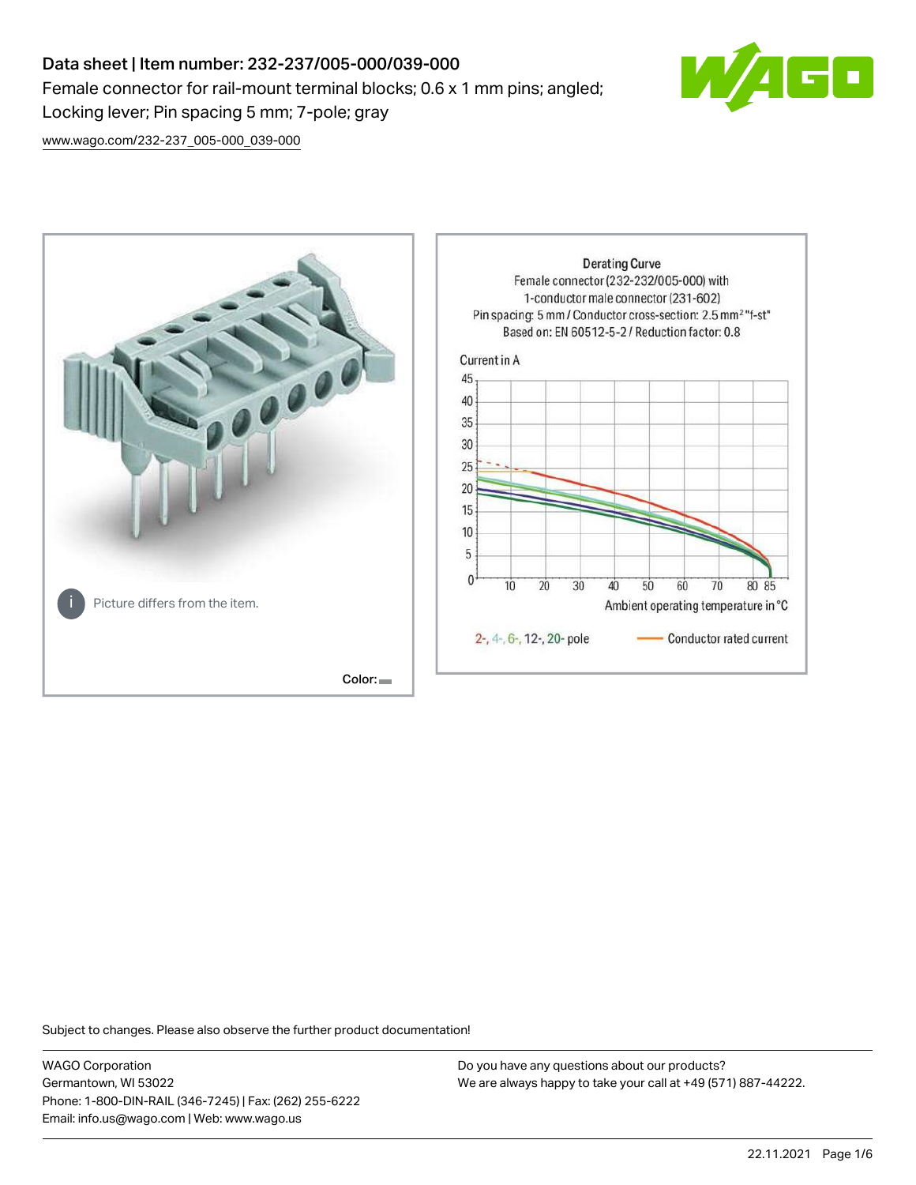# Data sheet | Item number: 232-237/005-000/039-000 Female connector for rail-mount terminal blocks; 0.6 x 1 mm pins; angled; Locking lever; Pin spacing 5 mm; 7-pole; gray



[www.wago.com/232-237\\_005-000\\_039-000](http://www.wago.com/232-237_005-000_039-000)



Subject to changes. Please also observe the further product documentation!

WAGO Corporation Germantown, WI 53022 Phone: 1-800-DIN-RAIL (346-7245) | Fax: (262) 255-6222 Email: info.us@wago.com | Web: www.wago.us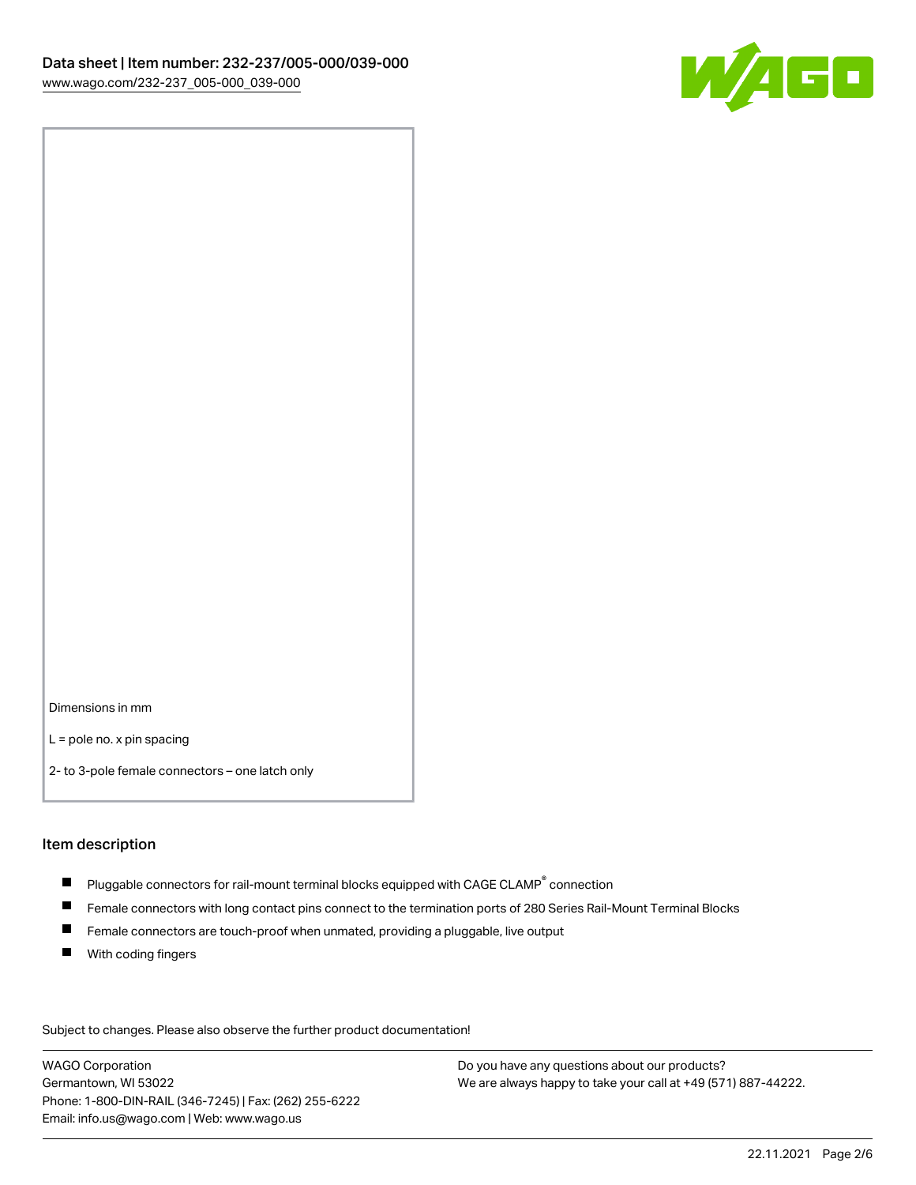

Dimensions in mm

L = pole no. x pin spacing

2- to 3-pole female connectors – one latch only

#### Item description

- $\blacksquare$  Pluggable connectors for rail-mount terminal blocks equipped with CAGE CLAMP $^\circ$  connection
- Female connectors with long contact pins connect to the termination ports of 280 Series Rail-Mount Terminal Blocks
- $\blacksquare$ Female connectors are touch-proof when unmated, providing a pluggable, live output
- $\blacksquare$ With coding fingers

Subject to changes. Please also observe the further product documentation! Data

WAGO Corporation Germantown, WI 53022 Phone: 1-800-DIN-RAIL (346-7245) | Fax: (262) 255-6222 Email: info.us@wago.com | Web: www.wago.us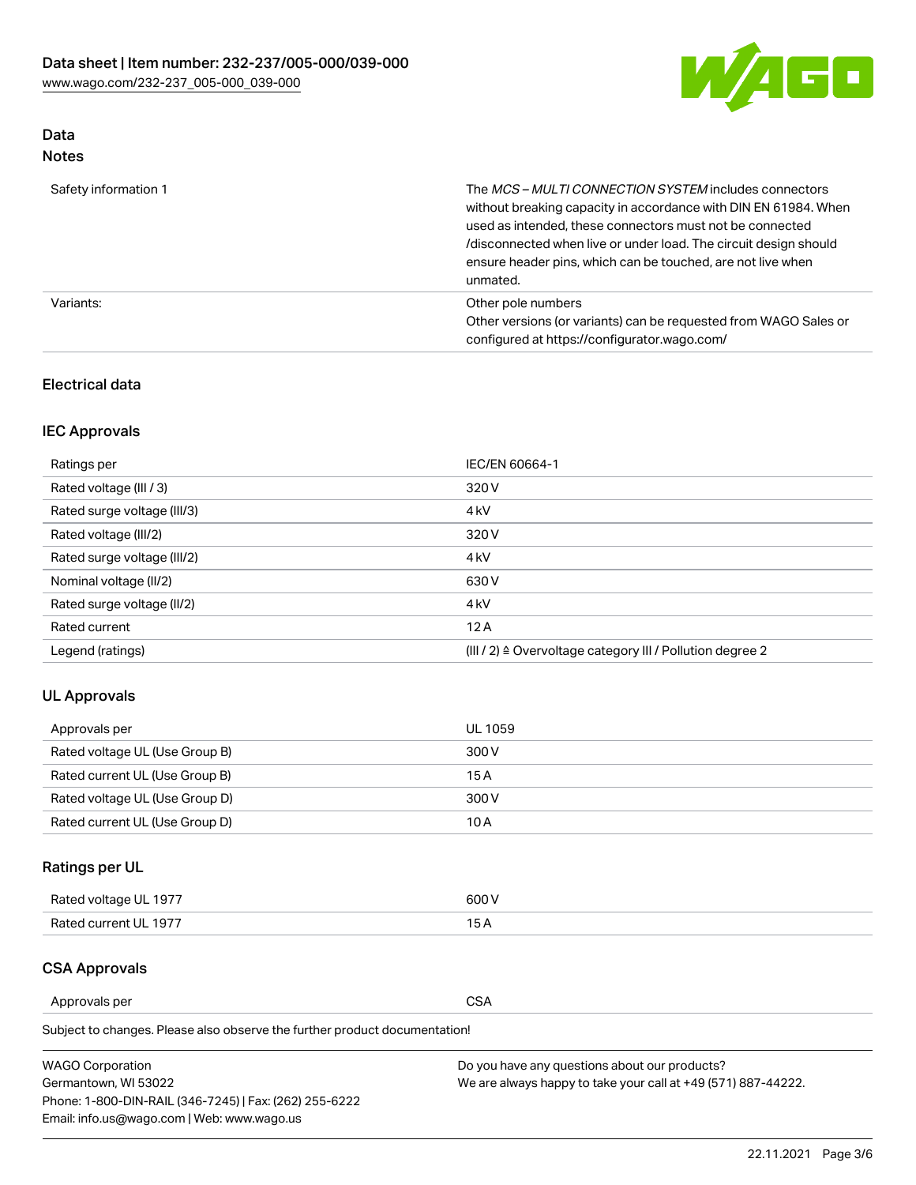

# Data

| Safety information 1 | The MCS-MULTI CONNECTION SYSTEM includes connectors<br>without breaking capacity in accordance with DIN EN 61984. When<br>used as intended, these connectors must not be connected<br>/disconnected when live or under load. The circuit design should<br>ensure header pins, which can be touched, are not live when<br>unmated. |
|----------------------|-----------------------------------------------------------------------------------------------------------------------------------------------------------------------------------------------------------------------------------------------------------------------------------------------------------------------------------|
| Variants:            | Other pole numbers<br>Other versions (or variants) can be requested from WAGO Sales or<br>configured at https://configurator.wago.com/                                                                                                                                                                                            |

## Electrical data

## IEC Approvals

| Ratings per                 | IEC/EN 60664-1                                                        |
|-----------------------------|-----------------------------------------------------------------------|
| Rated voltage (III / 3)     | 320 V                                                                 |
| Rated surge voltage (III/3) | 4 <sub>k</sub> V                                                      |
| Rated voltage (III/2)       | 320 V                                                                 |
| Rated surge voltage (III/2) | 4 <sub>k</sub> V                                                      |
| Nominal voltage (II/2)      | 630 V                                                                 |
| Rated surge voltage (II/2)  | 4 <sub>k</sub> V                                                      |
| Rated current               | 12A                                                                   |
| Legend (ratings)            | $(III / 2)$ $\triangle$ Overvoltage category III / Pollution degree 2 |

## UL Approvals

| Approvals per                  | UL 1059 |
|--------------------------------|---------|
| Rated voltage UL (Use Group B) | 300 V   |
| Rated current UL (Use Group B) | 15 A    |
| Rated voltage UL (Use Group D) | 300 V   |
| Rated current UL (Use Group D) | 10 A    |

## Ratings per UL

| Rated voltage UL 1977 | 300 V |
|-----------------------|-------|
| Rated current UL 1977 |       |

## CSA Approvals

Approvals per CSA

Subject to changes. Please also observe the further product documentation!

| <b>WAGO Corporation</b>                                | Do you have any questions about our products?                 |
|--------------------------------------------------------|---------------------------------------------------------------|
| Germantown, WI 53022                                   | We are always happy to take your call at +49 (571) 887-44222. |
| Phone: 1-800-DIN-RAIL (346-7245)   Fax: (262) 255-6222 |                                                               |
| Email: info.us@wago.com   Web: www.wago.us             |                                                               |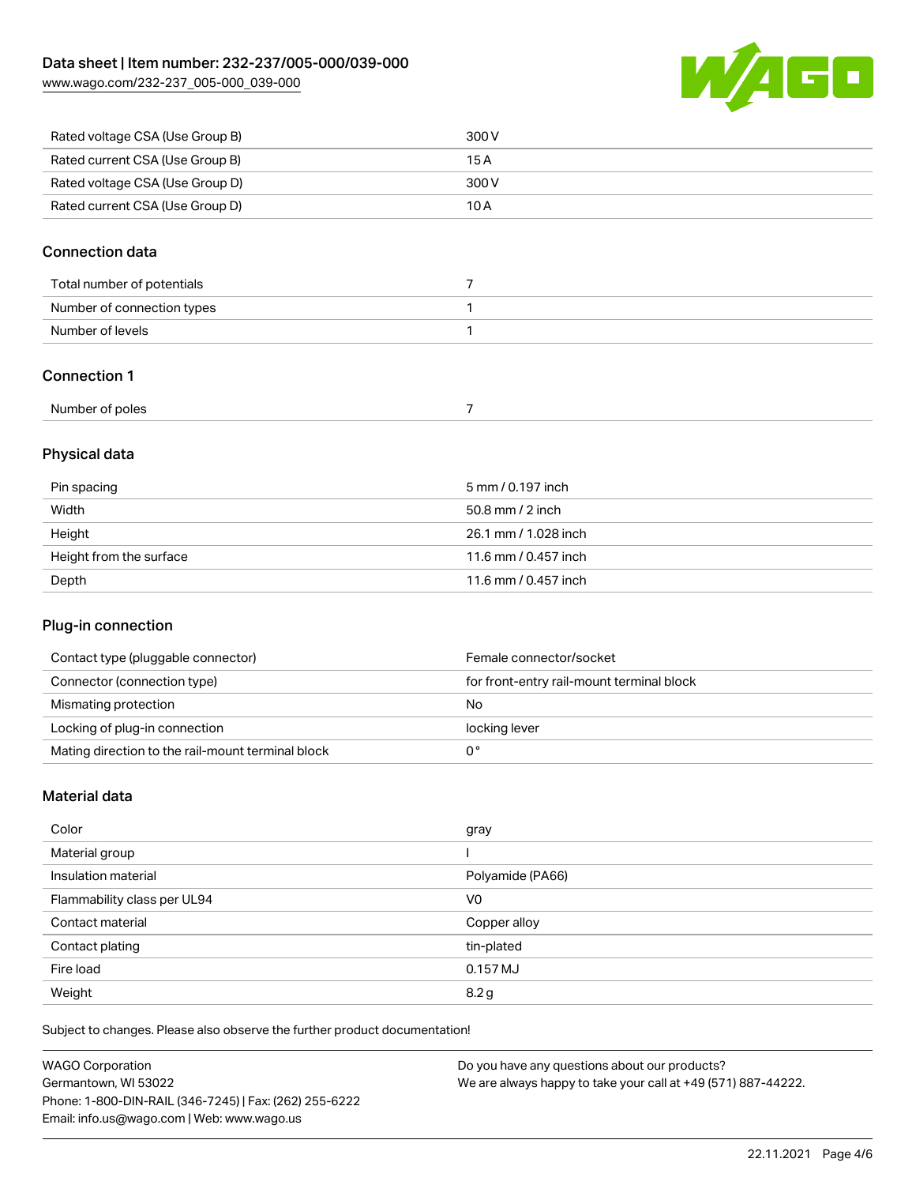[www.wago.com/232-237\\_005-000\\_039-000](http://www.wago.com/232-237_005-000_039-000)



| Rated voltage CSA (Use Group B) | 300 V |
|---------------------------------|-------|
| Rated current CSA (Use Group B) | 15 A  |
| Rated voltage CSA (Use Group D) | 300 V |
| Rated current CSA (Use Group D) | 10 A  |

## Connection data

| Total number of potentials |  |
|----------------------------|--|
| Number of connection types |  |
| Number of levels           |  |
|                            |  |

## Connection 1

| Number of poles<br>. |  |
|----------------------|--|
|----------------------|--|

## Physical data

| Pin spacing             | 5 mm / 0.197 inch    |
|-------------------------|----------------------|
| Width                   | $50.8$ mm $/$ 2 inch |
| Height                  | 26.1 mm / 1.028 inch |
| Height from the surface | 11.6 mm / 0.457 inch |
| Depth                   | 11.6 mm / 0.457 inch |

## Plug-in connection

| Contact type (pluggable connector)                | Female connector/socket                   |
|---------------------------------------------------|-------------------------------------------|
| Connector (connection type)                       | for front-entry rail-mount terminal block |
| Mismating protection                              | No                                        |
| Locking of plug-in connection                     | locking lever                             |
| Mating direction to the rail-mount terminal block |                                           |

## Material data

| Color                       | gray             |
|-----------------------------|------------------|
| Material group              |                  |
| Insulation material         | Polyamide (PA66) |
| Flammability class per UL94 | V <sub>0</sub>   |
| Contact material            | Copper alloy     |
| Contact plating             | tin-plated       |
| Fire load                   | $0.157$ MJ       |
| Weight                      | 8.2 <sub>g</sub> |

Subject to changes. Please also observe the further product documentation!

| <b>WAGO Corporation</b>                                | Do you have any questions about our products?                 |
|--------------------------------------------------------|---------------------------------------------------------------|
| Germantown, WI 53022                                   | We are always happy to take your call at +49 (571) 887-44222. |
| Phone: 1-800-DIN-RAIL (346-7245)   Fax: (262) 255-6222 |                                                               |
| Email: info.us@wago.com   Web: www.wago.us             |                                                               |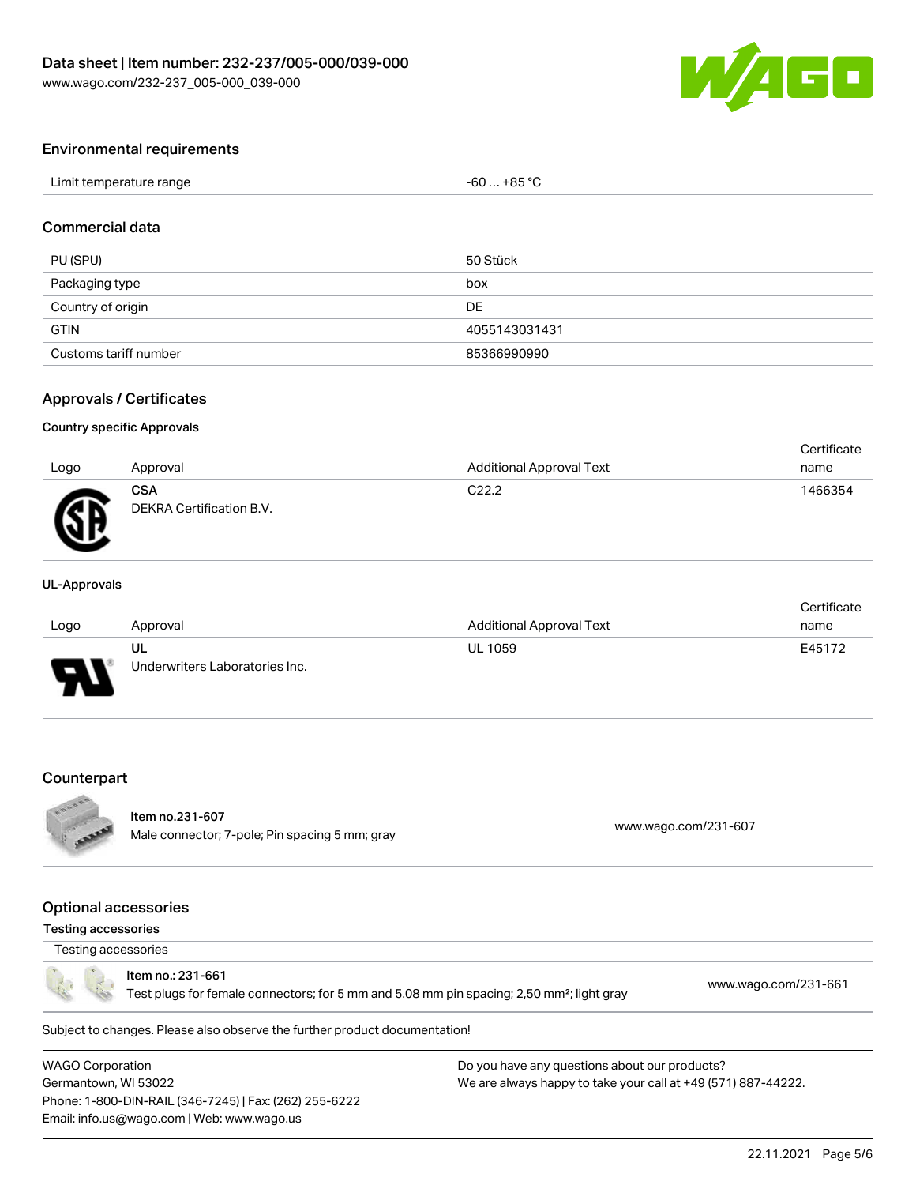

#### Environmental requirements

| Limit temperature range | … +85 °C.<br>c٢<br>-n'<br>JU |
|-------------------------|------------------------------|
|-------------------------|------------------------------|

## Commercial data

| PU (SPU)              | 50 Stück      |
|-----------------------|---------------|
| Packaging type        | box           |
| Country of origin     | <b>DE</b>     |
| <b>GTIN</b>           | 4055143031431 |
| Customs tariff number | 85366990990   |

#### Approvals / Certificates

#### Country specific Approvals

| Logo | Approval                               | <b>Additional Approval Text</b> | Certificate<br>name |
|------|----------------------------------------|---------------------------------|---------------------|
| Ж    | <b>CSA</b><br>DEKRA Certification B.V. | C <sub>22.2</sub>               | 1466354             |

#### UL-Approvals

|      |                                |                                 | Certificate |
|------|--------------------------------|---------------------------------|-------------|
| Logo | Approval                       | <b>Additional Approval Text</b> | name        |
|      | UL                             | <b>UL 1059</b>                  | E45172      |
| J    | Underwriters Laboratories Inc. |                                 |             |

#### **Counterpart**



## Item no.231-607

nem 10.251-007<br>Male connector; 7-pole; Pin spacing 5 mm; gray [www.wago.com/231-607](https://www.wago.com/231-607)

#### Optional accessories

#### Testing accessories

## Testing accessories

Item no.: 231-661

Test plugs for female connectors; for 5 mm and 5.08 mm pin spacing; 2,50 mm²; light gray [www.wago.com/231-661](http://www.wago.com/231-661)

Subject to changes. Please also observe the further product documentation!

WAGO Corporation Germantown, WI 53022 Phone: 1-800-DIN-RAIL (346-7245) | Fax: (262) 255-6222 Email: info.us@wago.com | Web: www.wago.us